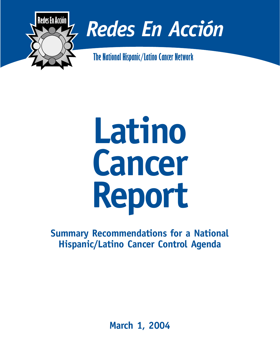

# *Redes En Acción*

**The National Hispanic/Latino Cancer Network**



**Summary Recommendations for a National Hispanic/Latino Cancer Control Agenda**

**March 1, 2004**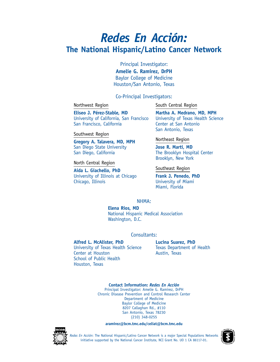# *Redes En Acción:* **The National Hispanic/Latino Cancer Network**

Principal Investigator:

**Amelie G. Ramirez, DrPH** Baylor College of Medicine Houston/San Antonio, Texas

## Co-Principal Investigators:

Northwest Region

South Central Region

**Eliseo J. Pérez-Stable, MD** University of California, San Francisco San Francisco, California

Southwest Region

**Gregory A. Talavera, MD, MPH** San Diego State University San Diego, California

North Central Region

**Aida L. Giachello, PhD** University of Illinois at Chicago Chicago, Illinois

**Martha A. Medrano, MD, MPH** University of Texas Health Science Center at San Antonio San Antonio, Texas

Northeast Region

**Jose R. Marti, MD** The Brooklyn Hospital Center Brooklyn, New York

Southeast Region

**Frank J. Penedo, PhD** University of Miami Miami, Florida

## NHMA:

**Elena Rios, MD** National Hispanic Medical Association Washington, D.C.

Consultants:

## **Alfred L. McAlister, PhD**

University of Texas Health Science Center at Houston School of Public Health Houston, Texas

## **Lucina Suarez, PhD**

Texas Department of Health Austin, Texas

**Contact Information:** *Redes En Acción*

Principal Investigator: Amelie G. Ramirez, DrPH Chronic Disease Prevention and Control Research Center Department of Medicine Baylor College of Medicine 8207 Callaghan Rd., #110 San Antonio, Texas 78230 (210) 348-0255

**aramirez@bcm.tmc.edu/celiat@bcm.tmc.edu**



*Redes En Acción*: The National Hispanic/Latino Cancer Network is a major Special Populations Networks initiative supported by the National Cancer Institute, NCI Grant No. UO 1 CA 86117-01.

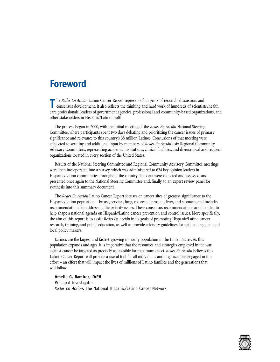## **Foreword**

**T** he *Redes En Acción* Latino Cancer Report represents four years of research, discussion, and consensus development. It also reflects the thinking and hard work of hundreds of scientists, health care professionals, leaders of government agencies, professional and community-based organizations, and other stakeholders in Hispanic/Latino health.

The process began in 2000, with the initial meeting of the *Redes En Acción* National Steering Committee, where participants spent two days debating and prioritizing the cancer issues of primary significance and relevance to this country's 38 million Latinos. Conclusions of that meeting were subjected to scrutiny and additional input by members of *Redes En Acción*'s six Regional Community Advisory Committees, representing academic institutions, clinical facilities, and diverse local and regional organizations located in every section of the United States.

Results of the National Steering Committee and Regional Community Advisory Committee meetings were then incorporated into a survey, which was administered to 624 key opinion leaders in Hispanic/Latino communities throughout the country. The data were collected and assessed, and presented once again to the National Steering Committee and, finally, to an expert review panel for synthesis into this summary document.

The *Redes En Acción* Latino Cancer Report focuses on cancer sites of greatest significance to the Hispanic/Latino population – breast, cervical, lung, colorectal, prostate, liver, and stomach, and includes recommendations for addressing the priority issues. These consensus recommendations are intended to help shape a national agenda on Hispanic/Latino cancer prevention and control issues. More specifically, the aim of this report is to assist *Redes En Acción* in its goals of promoting Hispanic/Latino cancer research, training, and public education, as well as provide advisory guidelines for national, regional and local policy makers.

Latinos are the largest and fastest-growing minority population in the United States. As this population expands and ages, it is imperative that the resources and strategies employed in the war against cancer be targeted as precisely as possible for maximum effect. *Redes En Acción* believes this Latino Cancer Report will provide a useful tool for all individuals and organizations engaged in this effort – an effort that will impact the lives of millions of Latino families and the generations that will follow.

## **Amelie G. Ramirez, DrPH**

Principal Investigator *Redes En Acción*: The National Hispanic/Latino Cancer Network

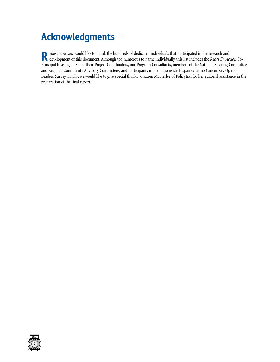# **Acknowledgments**

Redes En Acción would like to thank the hundreds of dedicated individuals that participated in the research and<br>Redesponent of this document. Although too numerous to name individually, this list includes the Redes En Acci Principal Investigators and their Project Coordinators, our Program Consultants, members of the National Steering Committee and Regional Community Advisory Committees, and participants in the nationwide Hispanic/Latino Cancer Key Opinion Leaders Survey. Finally, we would like to give special thanks to Karen Matherlee of PolicyInc. for her editorial assistance in the preparation of the final report.

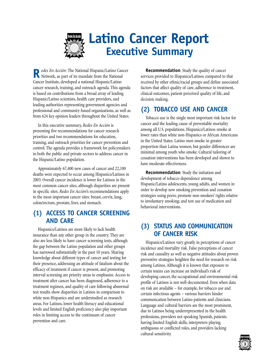

R*edes En Acción*: The National Hispanic/Latino Cancer<br>Network, as part of its mandate from the National Cancer Institute, developed a national Hispanic/Latino cancer research, training, and outreach agenda. This agenda is based on contributions from a broad array of leading Hispanic/Latino scientists, health care providers, and leading authorities representing government agencies and professional and community-based organizations, as well as from 624 key opinion leaders throughout the United States.

In this executive summary, *Redes En Acción* is presenting five recommendations for cancer research priorities and two recommendations for education, training, and outreach priorities for cancer prevention and control. The agenda provides a framework for policymakers in both the public and private sectors to address cancer in the Hispanic/Latino population.

Approximately 67,400 new cases of cancer and 22,100 deaths were expected to occur among Hispanics/Latinos in 2003. Overall cancer incidence is lower for Latinos in the most common cancer sites, although disparities are present in specific sites. *Redes En Acción*'s recommendations apply to the most important cancer sites: breast, cervix, lung, colon/rectum, prostate, liver, and stomach.

## **(1) ACCESS TO CANCER SCREENING AND CARE**

Hispanics/Latinos are more likely to lack health insurance than any other group in the country. They are also are less likely to have cancer screening tests, although the gap between the Latino population and other groups has narrowed substantially in the past 10 years. Sharing knowledge about different types of cancer and testing for their presence, addressing an attitude of fatalism about the efficacy of treatment if cancer is present, and promoting interval screening are priority areas to emphasize. Access to treatment after cancer has been diagnosed, adherence to a treatment regimen, and quality of care following abnormal test results show disparities in Latinos in comparison to white non-Hispanics and are understudied as research areas. For Latinos, lower health literacy and educational levels and limited English proficiency also play important roles in limiting access to the continuum of cancer prevention and care.

**Recommendation**: Study the quality of cancer services provided to Hispanics/Latinos compared to that received by other ethnic/racial groups and define associated factors that affect quality of care, adherence to treatment, clinical outcomes, patient-perceived quality of life, and decision making.

## **(2) TOBACCO USE AND CANCER**

Tobacco use is the single most important risk factor for cancer and the leading cause of preventable mortality among all U.S. populations. Hispanics/Latinos smoke at lower rates than white non-Hispanics or African Americans in the United States. Latino men smoke in greater proportion than Latina women, but gender differences are minimal among youth who smoke. Cultural tailoring of cessation interventions has been developed and shown to have moderate effectiveness.

**Recommendation**: Study the initiation and development of tobacco dependence among Hispanic/Latino adolescents, young adults, and women in order to develop new smoking prevention and cessation strategies using peers; promote non-smokers' rights relative to involuntary smoking; and test use of medication and behavioral interventions.

## **(3) STATUS AND COMMUNICATION OF CANCER RISK**

Hispanics/Latinos vary greatly in perceptions of cancer incidence and mortality risk. False perceptions of cancer risk and causality as well as negative attitudes about proven preventive strategies heighten the need for research on risk among Latinos. Although it is known that exposure to certain toxins can increase an individual's risk of developing cancer, the occupational and environmental risk profile of Latinos is not well-documented. Even when data on risk are available – for example, for tobacco use and certain infectious agents – various barriers hinder communication between Latino patients and clinicians. Language and cultural barriers are the most prominent, due to Latinos being underrepresented in the health professions, providers not speaking Spanish, patients having limited English skills, interpreters playing ambiguous or conflicted roles, and providers lacking cultural sensitivity.

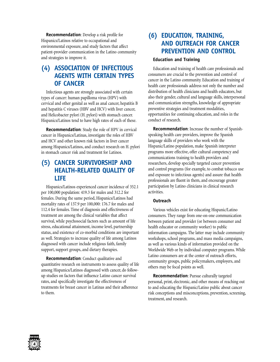**Recommendation**: Develop a risk profile for Hispanics/Latinos relative to occupational and environmental exposure, and study factors that affect patient-provider communication in the Latino community and strategies to improve it.

## **(4) ASSOCIATION OF INFECTIOUS AGENTS WITH CERTAIN TYPES OF CANCER**

Infectious agents are strongly associated with certain types of cancer: human papilloma virus (HPV) with cervical and other genital as well as anal cancer, hepatitis B and hepatitis C viruses (HBV and HCV) with liver cancer, and Helicobacter pylori (H. pylori) with stomach cancer. Hispanics/Latinos tend to have high rates of each of these.

**Recommendation**: Study the role of HPV in cervical cancer in Hispanics/Latinas, investigate the roles of HBV and HCV and other known risk factors in liver cancer among Hispanics/Latinos, and conduct research on H. pylori in stomach cancer risk and treatment for Latinos.

## **(5) CANCER SURVIVORSHIP AND HEALTH-RELATED QUALITY OF LIFE**

Hispanics/Latinos experienced cancer incidence of 352.1 per 100,000 population: 419.3 for males and 312.2 for females. During the same period, Hispanics/Latinos had mortality rates of 137.9 per 100,000: 176.7 for males and 112.4 for females. Time of diagnosis and effectiveness of treatment are among the clinical variables that affect survival, while psychosocial factors such as amount of life stress, educational attainment, income level, partnership status, and existence of co-morbid conditions are important as well. Strategies to increase quality of life among Latinos diagnosed with cancer include religious faith, family support, support groups, and dietary therapies.

**Recommendation**: Conduct qualitative and quantitative research on instruments to assess quality of life among Hispanics/Latinos diagnosed with cancer, do followup studies on factors that influence Latino cancer survival rates, and specifically investigate the effectiveness of treatments for breast cancer in Latinas and their adherence to them.

## **(6) EDUCATION, TRAINING, AND OUTREACH FOR CANCER PREVENTION AND CONTROL**

## **Education and Training**

Education and training of health care professionals and consumers are crucial to the prevention and control of cancer in the Latino community. Education and training of health care professionals address not only the number and distribution of health clinicians and health educators, but also their gender, cultural and language skills, interpersonal and communication strengths, knowledge of appropriate preventive strategies and treatment modalities, opportunities for continuing education, and roles in the conduct of research.

**Recommendation**: Increase the number of Spanishspeaking health care providers, improve the Spanish language skills of providers who work with the Hispanic/Latino population, make Spanish interpreter programs more effective, offer cultural competency and communications training to health providers and researchers, develop specially targeted cancer prevention and control programs (for example, to combat tobacco use and exposure to infectious agents) and assure that health professionals are fluent in them, and encourage greater participation by Latino clinicians in clinical research activities.

## **Outreach**

Various vehicles exist for educating Hispanic/Latino consumers. They range from one-on-one communication between patient and provider (or between consumer and health educator or community worker) to public information campaigns. The latter may include community workshops, school programs, and mass media campaigns, as well as various kinds of information provided on the Worldwide Web or by individual computer programs. While Latino consumers are at the center of outreach efforts, community groups, public policymakers, employers, and others may be focal points as well.

**Recommendation**: Pursue culturally targeted personal, print, electronic, and other means of reaching out to and educating the Hispanic/Latino public about cancer risk conceptions and misconceptions, prevention, screening, treatment, and research.

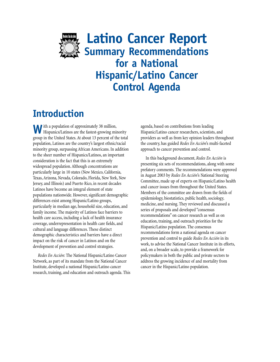

**Latino Cancer Report Summary Recommendations for a National Hispanic/Latino Cancer Control Agenda**

# **Introduction**

W ith a population of approximately 38 million,<br>Hispanics/Latinos are the fastest-growing minority group in the United States. At about 13 percent of the total population, Latinos are the country's largest ethnic/racial minority group, surpassing African Americans. In addition to the sheer number of Hispanics/Latinos, an important consideration is the fact that this is an extremely widespread population. Although concentrations are particularly large in 10 states (New Mexico, California, Texas, Arizona, Nevada, Colorado, Florida, New York, New Jersey, and Illinois) and Puerto Rico, in recent decades Latinos have become an integral element of state populations nationwide. However, significant demographic differences exist among Hispanic/Latino groups, particularly in median age, household size, education, and family income. The majority of Latinos face barriers to health care access, including a lack of health insurance coverage, underrepresentation in health care fields, and cultural and language differences. These distinct demographic characteristics and barriers have a direct impact on the risk of cancer in Latinos and on the development of prevention and control strategies.

*Redes En Acción*: The National Hispanic/Latino Cancer Network, as part of its mandate from the National Cancer Institute, developed a national Hispanic/Latino cancer research, training, and education and outreach agenda. This agenda, based on contributions from leading Hispanic/Latino cancer researchers, scientists, and providers as well as from key opinion leaders throughout the country, has guided *Redes En Acción*'s multi-faceted approach to cancer prevention and control.

In this background document, *Redes En Acción* is presenting six sets of recommendations, along with some prefatory comments. The recommendations were approved in August 2003 by *Redes En Acción*'s National Steering Committee, made up of experts on Hispanic/Latino health and cancer issues from throughout the United States. Members of the committee are drawn from the fields of epidemiology, biostatistics, public health, sociology, medicine, and nursing. They reviewed and discussed a series of proposals and developed "consensus recommendations" on cancer research as well as on education, training, and outreach priorities for the Hispanic/Latino population. The consensus recommendations form a national agenda on cancer prevention and control to guide *Redes En Acción* in its work, to advise the National Cancer Institute in its efforts, and, on a broader scale, to provide a framework for policymakers in both the public and private sectors to address the growing incidence of and mortality from cancer in the Hispanic/Latino population.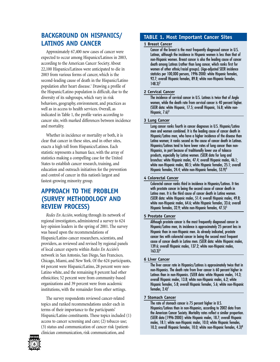## **BACKGROUND ON HISPANICS/ LATINOS AND CANCER**

Approximately 67,400 new cases of cancer were expected to occur among Hispanics/Latinos in 2003, according to the American Cancer Society. About 22,100 Hispanics/Latinos were anticipated to die in 2003 from various forms of cancer, which is the second-leading cause of death in the Hispanic/Latino population after heart disease.<sup>1</sup> Drawing a profile of the Hispanic/Latino population is difficult, due to the diversity of its subgroups, which vary in risk behaviors, geography, environment, and practices as well as in access to health services. Overall, as indicated in Table 1, the profile varies according to cancer site, with marked differences between incidence and mortality.

Whether in incidence or mortality or both, it is clear that cancer in these sites, and in other sites, exacts a high toll from Hispanics/Latinos. Each statistic represents a human face, with the array of statistics making a compelling case for the United States to establish cancer research, training, and education and outreach initiatives for the prevention and control of cancer in this nation's largest and fastest-growing minority group.

## **APPROACH TO THE PROBLEM (SURVEY METHODOLOGY AND REVIEW PROCESS)**

*Redes En Acción*, working through its network of regional investigators, administered a survey to 624 key opinion leaders in the spring of 2001. The survey was based upon the recommendations of Hispanic/Latino cancer researchers, scientists, and providers, as reviewed and revised by regional panels of local cancer experts within *Redes En Acción*'s network in San Antonio, San Diego, San Francisco, Chicago, Miami, and New York. Of the 624 participants, 64 percent were Hispanic/Latino, 28 percent were non-Latino white, and the remaining 8 percent had other ethnicities; 52 percent were from community-based organizations and 39 percent were from academic institutions, with the remainder from other settings.

The survey respondents reviewed cancer-related topics and ranked recommendations under each in terms of their importance to the participants' Hispanic/Latino constituents. These topics included (1) access to cancer screening and care; (2) tobacco use; (3) status and communication of cancer risk (patientclinician communication, risk communication, and

# **6**

## **TABLE 1. Most Important Cancer Sites**

## **1 Breast Cancer**

Cancer of the breast is the most frequently diagnosed cancer in U.S. Latinas, although the incidence in Hispanic women is less than that of non-Hispanic women. Breast cancer is also the leading cause of cancer death among Latinas (rather than lung cancer, which ranks first for women of other ethnic/racial groups). (Age-adjusted SEER incidence statistics per 100,000 persons, 1996-2000: white Hispanic females, 92.7; overall Hispanic females, 89.8; white non-Hispanic females,  $148.3)^2$ 

## **2 Cervical Cancer**

The incidence of cervical cancer in U.S. Latinas is twice that of Anglo women, while the death rate from cervical cancer is 40 percent higher. (SEER data: white Hispanic, 17.5; overall Hispanic, 16.8; white non-Hispanic,  $7.6$ <sup>3</sup>

## **3 Lung Cancer**

Lung cancer ranks fourth in cancer diagnoses in U.S. Hispanic/Latino men and women combined. It is the leading cause of cancer death in Hispanic/Latino men, who have a higher incidence of the disease than Latina women; it ranks second as the cause of cancer death in Latinas. Hispanics/Latinos tend to have lower rates of lung cancer than non-Hispanics, in part because of traditionally lower use of tobacco products, especially by Latina women. (SEER data for lung and bronchus: white Hispanic males, 47.4; overall Hispanic males, 46.1; white non-Hispanic males, 80.5; white Hispanic females, 25.1; overall Hispanic females, 24.4; white non-Hispanic females, 53.9)4

## **4 Colorectal Cancer**

Colorectal cancer ranks third in incidence in Hispanics/Latinos. It ties with prostate cancer in being the second cause of cancer death in Latino men. It is the third cause of cancer death in Latina women. (SEER data: white Hispanic males, 51.4; overall Hispanic males, 49.8; white non-Hispanic males, 64.6; white Hispanic females, 33.6; overall Hispanic females, 32.9; white non-Hispanic females, 47.5)<sup>5</sup>

## **5 Prostate Cancer**

Although prostate cancer is the most frequently diagnosed cancer in Hispanic/Latino men, its incidence is approximately 25 percent less in Hispanic than in non-Hispanic men. As already indicated, prostate cancer ties with colorectal cancer in being the second most frequent cause of cancer death in Latino men. (SEER data: white Hispanic males, 139.6; overall Hispanic males, 137.2; white non-Hispanic males,  $163.3$ <sup>6</sup>

## **6 Liver Cancer**

The liver cancer rate in Hispanics/Latinos is approximately twice that in non-Hispanics. The death rate from liver cancer is 60 percent higher in Latinos than in non-Hispanics. (SEER data: white Hispanic males, 14.3; overall Hispanic males, 13.8; white non-Hispanic males, 6.2; white Hispanic females, 5.8; overall Hispanic females, 5.6; white non-Hispanic females,  $2.4$ <sup>7</sup>

## **7 Stomach Cancer**

The rate of stomach cancer is 75 percent higher in U.S. Hispanics/Latinos than in non-Hispanics, according to 2002 data from the American Cancer Society. Mortality rates reflect a similar proportion. (SEER data [1996-2000]: white Hispanic males, 18.7; overall Hispanic males, 18.1; white non-Hispanic males, 10.0; white Hispanic females, 10.3; overall Hispanic females, 10.0; white non-Hispanic females, 4.3)<sup>8</sup>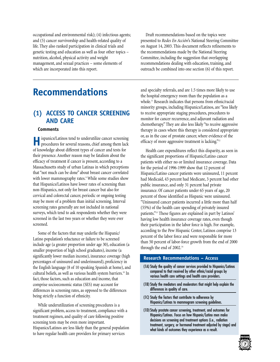occupational and environmental risk); (4) infectious agents; and (5) cancer survivorship and health-related quality of life. They also ranked participation in clinical trials and genetic testing and education as well as four other topics – nutrition, alcohol, physical activity and weight management, and sexual practices – some elements of which are incorporated into this report.

## **Recommendations**

## **(1) ACCESS TO CANCER SCREENING AND CARE**

#### **Comments**

**H**ispanics/Latinos tend to underutilize cancer screening<br>procedures for several reasons, chief among them lack of knowledge about different types of cancer and tests for their presence. Another reason may be fatalism about the efficacy of treatment if cancer is present, according to a Massachusetts study of urban Latinas in which perceptions that "not much can be done" about breast cancer correlated with lower mammography rates.<sup>9</sup> While some studies show that Hispanics/Latinos have lower rates of screening than non-Hispanics, not only for breast cancer but also for cervical and colorectal cancer, periodic or ongoing testing may be more of a problem than initial screening. Interval screening rates generally are not included in national surveys, which tend to ask respondents whether they were screened in the last two years or whether they were ever screened.

Some of the factors that may underlie the Hispanic/ Latino population's reluctance or failure to be screened include age (a greater proportion under age 30), education (a smaller proportion of high school graduates), income (a significantly lower median income), insurance coverage (high percentages of uninsured and underinsured), proficiency in the English language (8 of 10 speaking Spanish at home), and cultural beliefs, as well as various health system barriers.<sup>10</sup> In fact, those factors, such as education and income, that comprise socioeconomic status (SES) may account for differences in screening rates, as opposed to the differences being strictly a function of ethnicity.

While underutilization of screening procedures is a significant problem, access to treatment, compliance with a treatment regimen, and quality of care following positive screening tests may be even more important. Hispanics/Latinos are less likely than the general population to have regular health care providers for primary services

Draft recommendations based on the topics were presented to *Redes En Acción*'s National Steering Committee on August 14, 2003. This document reflects refinements to the recommendations made by the National Steering Committee, including the suggestion that overlapping recommendations dealing with education, training, and outreach be combined into one section (6) of this report.

and specialty referrals, and are 1.5 times more likely to use the hospital emergency room than the population as a whole.11 Research indicates that persons from ethnic/racial minority groups, including Hispanics/Latinos, are "less likely to receive appropriate staging procedures, procedures to monitor for cancer recurrence, and adjuvant radiation and chemotherapy." They are also less likely "to receive aggressive therapy in cases where this therapy is considered appropriate or, as in the case of prostate cancer, where evidence of the efficacy of more aggressive treatment is lacking."<sup>12</sup>

Health care expenditures reflect this disparity, as seen in the significant proportions of Hispanic/Latino cancer patients with either no or limited insurance coverage. Data for the period of 1996-1999 show that 12 percent of Hispanic/Latino cancer patients were uninsured, 11 percent had Medicaid, 43 percent had Medicare, 3 percent had other public insurance, and only 31 percent had private insurance. Of cancer patients under 65 years of age, 20 percent of those identified as Hispanic were uninsured. "Uninsured cancer patients incurred a little more than half (55%) of the health care spending of privately insured patients."13 These figures are explained in part by Latinos' having low health insurance coverage rates, even though their participation in the labor force is high. For example, according to the Pew Hispanic Center, Latinos comprise 13 percent of the labor force and were responsible for more than 50 percent of labor-force growth from the end of 2000 through the end of 2002.<sup>14</sup>

## **Research Recommendations – Access**

- (1A) Study the quality of cancer services provided to Hispanics/Latinos compared to that received by other ethnic/racial groups by various health care settings and health care providers.
- (1B) Study the mediators and moderators that might help explain the differences in quality of care.
- (1C) Study the factors that contribute to adherence by Hispanics/Latinas to mammogram screening guidelines.
- (1D) Study prostate cancer screening, treatment, and outcomes for Hispanics/Latinos. Focus on how Hispanic/Latino men make decisions on screening and treatment options (i.e., radiation treatment, surgery, or hormonal treatment adjusted by stage) and what kinds of outcomes they experience as a result.

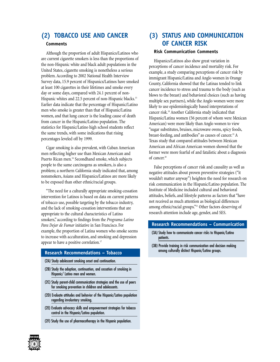## **(2) TOBACCO USE AND CANCER**

## **Comments**

Although the proportion of adult Hispanics/Latinos who are current cigarette smokers is less than the proportions of the non-Hispanic white and black adult populations in the United States, cigarette smoking is nonetheless a serious problem. According to 2002 National Health Interview Survey data, 15.9 percent of Hispanics/Latinos have smoked at least 100 cigarettes in their lifetimes and smoke every day or some days, compared with 24.1 percent of non-Hispanic whites and 22.5 percent of non-Hispanic blacks.<sup>15</sup> Earlier data indicate that the percentage of Hispanic/Latino men who smoke is greater than that of Hispanic/Latina women, and that lung cancer is the leading cause of death from cancer in the Hispanic/Latino population. The statistics for Hispanic/Latino high school students reflect the same trends, with some indications that rising percentages leveled off by 1999.

Cigar smoking is also prevalent, with Cuban American men reflecting higher use than Mexican American and Puerto Rican men.<sup>16</sup> Secondhand smoke, which subjects people to the same carcinogens as smokers, is also a problem; a northern California study indicated that, among nonsmokers, Asians and Hispanics/Latinos are more likely to be exposed than other ethnic/racial groups.

"The need for a culturally appropriate smoking-cessation intervention for Latinos is based on data on current patterns of tobacco use, possible targeting by the tobacco industry, and the lack of smoking-cessation interventions that are appropriate to the cultural characteristics of Latino smokers," according to findings from the *Programa Latino Para Dejar de Fumar* initiative in San Francisco. For example, the proportion of Latina women who smoke seems to increase with acculturation, and smoking and depression appear to have a positive correlation.<sup>17</sup>

#### **Research Recommendations – Tobacco**

- (2A) Study adolescent smoking onset and continuation.
- (2B) Study the adoption, continuation, and cessation of smoking in Hispanic/ Latino men and women.
- (2C) Study parent-child communication strategies and the use of peers for smoking prevention in children and adolescents.
- (2D) Evaluate attitudes and behavior of the Hispanic/Latino population regarding involuntary smoking.
- (2E) Evaluate advocacy skills and empowerment strategies for tobacco control in the Hispanic/Latino population.
- (2F) Study the use of pharmacotherapy in the Hispanic population.

## **(3) STATUS AND COMMUNICATION OF CANCER RISK**

#### **Risk Communication Comments**

Hispanics/Latinos also show great variation in perceptions of cancer incidence and mortality risk. For example, a study comparing perceptions of cancer risk by immigrant Hispanic/Latina and Anglo women in Orange County, California showed that the Latinas tended to link cancer incidence to stress and trauma to the body (such as blows to the breast) and behavioral choices (such as having multiple sex partners), while the Anglo women were more likely to use epidemiologically based interpretations of cancer risk.18 Another California study indicated that Hispanic/Latina women (56 percent of whom were Mexican American) were more likely than Anglo women to view "sugar substitutes, bruises, microwave ovens, spicy foods, breast-feeding, and antibodies" as causes of cancer.<sup>19</sup> A Texas study that compared attitudes between Mexican American and African American women showed that the former were more fearful of and fatalistic about a diagnosis of cancer.<sup>20</sup>

False perceptions of cancer risk and causality as well as negative attitudes about proven preventive strategies ("it wouldn't matter anyway") heighten the need for research on risk communication in the Hispanic/Latino population. The Institute of Medicine included cultural and behavioral attitudes, beliefs, and lifestyle patterns as factors that "have not received as much attention as biological differences among ethnic/racial groups."<sup>21</sup> Other factors deserving of research attention include age, gender, and SES.

#### **Research Recommendations – Communication**

- (3A) Study how to communicate cancer risks to Hispanic/Latino patients.
- (3B) Provide training in risk communication and decision making among culturally distinct Hispanic/Latino groups.

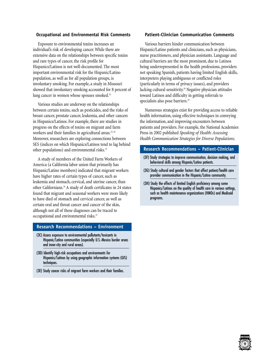#### **Occupational and Environmental Risk Comments**

Exposure to environmental toxins increases an individual's risk of developing cancer. While there are extensive data on the relationships between specific toxins and rare types of cancer, the risk profile for Hispanics/Latinos is not well-documented. The most important environmental risk for the Hispanic/Latino population, as well as for all population groups, is involuntary smoking. For example, a study in Missouri showed that involuntary smoking accounted for 8 percent of lung cancer in women whose spouses smoked.<sup>22</sup>

Various studies are underway on the relationships between certain toxins, such as pesticides, and the risks of breast cancer, prostate cancer, leukemia, and other cancers in Hispanics/Latinos. For example, there are studies in progress on the effects of toxins on migrant and farm workers and their families in agricultural areas.<sup>23, 24</sup> Moreover, researchers are exploring connections between SES (indices on which Hispanics/Latinos tend to lag behind other populations) and environmental risks.<sup>25</sup>

A study of members of the United Farm Workers of America (a California labor union that primarily has Hispanic/Latino members) indicated that migrant workers have higher rates of certain types of cancer, such as leukemia and stomach, cervical, and uterine cancer, than other Californians.26 A study of death certificates in 24 states found that migrant and seasonal workers were more likely to have died of stomach and cervical cancer, as well as certain oral and throat cancer and cancer of the skin, although not all of these diagnoses can be traced to occupational and environmental risks.<sup>27</sup>

### **Research Recommendations – Environment**

- (3C) Assess exposure to environmental pollutants/toxicants in Hispanic/Latino communities (especially U.S.-Mexico border areas and inner-city and rural areas).
- (3D) Identify high-risk occupations and environments for Hispanics/Latinos by using geographic information systems (GIS) techniques.
- (3E) Study cancer risks of migrant farm workers and their families.

#### **Patient-Clinician Communication Comments**

Various barriers hinder communication between Hispanic/Latino patients and clinicians, such as physicians, nurse practitioners, and physician assistants. Language and cultural barriers are the most prominent, due to Latinos being underrepresented in the health professions, providers not speaking Spanish, patients having limited English skills, interpreters playing ambiguous or conflicted roles (particularly in terms of privacy issues), and providers lacking cultural sensitivity.<sup>28</sup> Negative physician attitudes toward Latinos and difficulty in getting referrals to specialists also pose barriers.<sup>29</sup>

Numerous strategies exist for providing access to reliable health information, using effective techniques in conveying the information, and improving encounters between patients and providers. For example, the National Academies Press in 2002 published *Speaking of Health: Assessing Health Communication Strategies for Diverse Populations*.

## **Research Recommendations – Patient-Clinician**

- (3F) Study strategies to improve communication, decision making, and behavioral skills among Hispanic/Latino patients.
- (3G) Study cultural and gender factors that affect patient/health care provider communication in the Hispanic/Latino community.
- (3H) Study the effects of limited English proficiency among some Hispanics/Latinos on the quality of health care in various settings, such as health maintenance organizations (HMOs) and Medicaid programs.

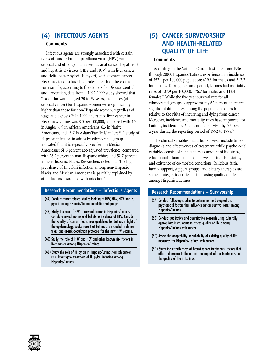## **(4) INFECTIOUS AGENTS**

## **Comments**

Infectious agents are strongly associated with certain types of cancer: human papilloma virus (HPV) with cervical and other genital as well as anal cancer, hepatitis B and hepatitis C viruses (HBV and HCV) with liver cancer, and Helicobacter pylori (H. pylori) with stomach cancer. Hispanics tend to have high rates of each of these cancers. For example, according to the Centers for Disease Control and Prevention, data from a 1992-1999 study showed that, "except for women aged 20 to 29 years, incidences (of cervical cancer) for Hispanic women were significantly higher than those for non-Hispanic women, regardless of stage at diagnosis."30 In 1999, the rate of liver cancer in Hispanics/Latinos was 8.0 per 100,000, compared with 4.7 in Anglos, 6.9 in African Americans, 6.3 in Native Americans, and 13.7 in Asians/Pacific Islanders.<sup>31</sup> A study of H. pylori infection in adults by ethnic/racial group indicated that it is especially prevalent in Mexican Americans: 61.6 percent age-adjusted prevalence, compared with 26.2 percent in non-Hispanic whites and 52.7 percent in non-Hispanic blacks. Researchers noted that "the high prevalence of H. pylori infection among non-Hispanic blacks and Mexican Americans is partially explained by other factors associated with infection."32

#### **Research Recommendations – Infectious Agents**

- (4A) Conduct cancer-related studies looking at HPV, HBV, HCV, and H. pylori among Hispanic/Latino population subgroups.
- (4B) Study the role of HPV in cervical cancer in Hispanics/Latinas. Correlate sexual norms and beliefs to incidence of HPV. Consider the validity of current Pap smear guidelines for Latinas in light of the epidemiology. Make sure that Latinas are included in clinical trials and at-risk-population protocols for the new HPV vaccine.
- (4C) Study the role of HBV and HCV and other known risk factors in liver cancer among Hispanics/Latinos.
- (4D) Study the role of H. pylori in Hispanic/Latino stomach cancer risk. Investigate treatment of H. pylori infection among Hispanics/Latinos.

## **(5) CANCER SURVIVORSHIP AND HEALTH-RELATED QUALITY OF LIFE**

#### **Comments**

According to the National Cancer Institute, from 1996 through 2000, Hispanics/Latinos experienced an incidence of 352.1 per 100,000 population: 419.3 for males and 312.2 for females. During the same period, Latinos had mortality rates of 137.9 per 100,000: 176.7 for males and 112.4 for females.33 While the five-year survival rate for all ethnic/racial groups is approximately 62 percent, there are significant differences among the populations of each relative to the risks of incurring and dying from cancer. Moreover, incidence and mortality rates have improved: for Latinos, incidence by 2 percent and survival by 0.9 percent a year during the reporting period of 1992 to 1998.34

The clinical variables that affect survival include time of diagnosis and effectiveness of treatment, while psychosocial variables consist of such factors as amount of life stress, educational attainment, income level, partnership status, and existence of co-morbid conditions. Religious faith, family support, support groups, and dietary therapies are some strategies identified as increasing quality of life among Hispanics/Latinos.

#### **Research Recommendations – Survivorship**

- (5A) Conduct follow-up studies to determine the biological and psychosocial factors that influence cancer survival rates among Hispanics/Latinos.
- (5B) Conduct qualitative and quantitative research using culturally appropriate instruments to assess quality of life among Hispanics/Latinos with cancer.
- (5C) Assess the adaptability or suitability of existing quality-of-life measures for Hispanics/Latinos with cancer.
- (5D) Study the effectiveness of breast cancer treatments, factors that affect adherence to them, and the impact of the treatments on the quality of life in Latinas.

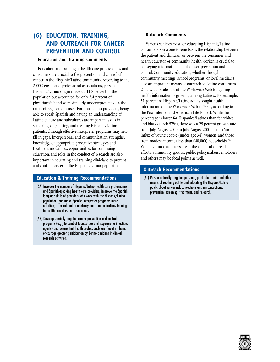## **(6) EDUCATION, TRAINING, AND OUTREACH FOR CANCER PREVENTION AND CONTROL**

#### **Education and Training Comments**

Education and training of health care professionals and consumers are crucial to the prevention and control of cancer in the Hispanic/Latino community. According to the 2000 Census and professional associations, persons of Hispanic/Latino origin made up 11.8 percent of the population but accounted for only 3.4 percent of physicians<sup>35, 36</sup> and were similarly underrepresented in the ranks of registered nurses. For non-Latino providers, being able to speak Spanish and having an understanding of Latino culture and subcultures are important skills in screening, diagnosing, and treating Hispanic/Latino patients, although effective interpreter programs may help fill in gaps. Interpersonal and communication strengths, knowledge of appropriate preventive strategies and treatment modalities, opportunities for continuing education, and roles in the conduct of research are also important in educating and training clinicians to prevent and control cancer in the Hispanic/Latino population.

#### **Education & Training Recommendations**

- (6A) Increase the number of Hispanic/Latino health care professionals and Spanish-speaking health care providers, improve the Spanish language skills of providers who work with the Hispanic/Latino population, and make Spanish interpreter programs more effective; offer cultural competency and communications training to health providers and researchers.
- (6B) Develop specially targeted cancer prevention and control programs (e.g., to combat tobacco use and exposure to infectious agents) and assure that health professionals are fluent in them; encourage greater participation by Latino clinicians in clinical research activities.

#### **Outreach Comments**

Various vehicles exist for educating Hispanic/Latino consumers. On a one-to-one basis, the relationship between the patient and clinician, or between the consumer and health educator or community health worker, is crucial to conveying information about cancer prevention and control. Community education, whether through community meetings, school programs, or local media, is also an important means of outreach to Latino consumers. On a wider scale, use of the Worldwide Web for getting health information is growing among Latinos. For example, 51 percent of Hispanic/Latino adults sought health information on the Worldwide Web in 2001, according to the Pew Internet and American Life Project. While the percentage is lower for Hispanics/Latinos than for whites and blacks (each 57%), there was a 25 percent growth rate from July-August 2000 to July-August 2001, due to "an influx of young people (under age 34), women, and those from modest-income (less than \$40,000) households."<sup>37</sup> While Latino consumers are at the center of outreach efforts, community groups, public policymakers, employers, and others may be focal points as well.

#### **Outreach Recommendations**

(6C) Pursue culturally targeted personal, print, electronic, and other means of reaching out to and educating the Hispanic/Latino public about cancer risk conceptions and misconceptions, prevention, screening, treatment, and research.

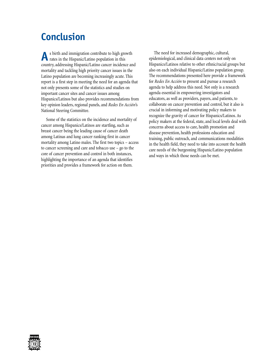# **Conclusion**

**A**s birth and immigration contribute to high growth rates in the Hispanic/Latino population in this country, addressing Hispanic/Latino cancer incidence and mortality and tackling high priority cancer issues in the Latino population are becoming increasingly acute. This report is a first step in meeting the need for an agenda that not only presents some of the statistics and studies on important cancer sites and cancer issues among Hispanics/Latinos but also provides recommendations from key opinion leaders, regional panels, and *Redes En Acción*'s National Steering Committee.

Some of the statistics on the incidence and mortality of cancer among Hispanics/Latinos are startling, such as breast cancer being the leading cause of cancer death among Latinas and lung cancer ranking first in cancer mortality among Latino males. The first two topics – access to cancer screening and care and tobacco use – go to the core of cancer prevention and control in both instances, highlighting the importance of an agenda that identifies priorities and provides a framework for action on them.

The need for increased demographic, cultural, epidemiological, and clinical data centers not only on Hispanics/Latinos relative to other ethnic/racial groups but also on each individual Hispanic/Latino population group. The recommendations presented here provide a framework for *Redes En Acción* to present and pursue a research agenda to help address this need. Not only is a research agenda essential in empowering investigators and educators, as well as providers, payers, and patients, to collaborate on cancer prevention and control, but it also is crucial in informing and motivating policy makers to recognize the gravity of cancer for Hispanics/Latinos. As policy makers at the federal, state, and local levels deal with concerns about access to care, health promotion and disease prevention, health professions education and training, public outreach, and communications modalities in the health field, they need to take into account the health care needs of the burgeoning Hispanic/Latino population and ways in which those needs can be met.

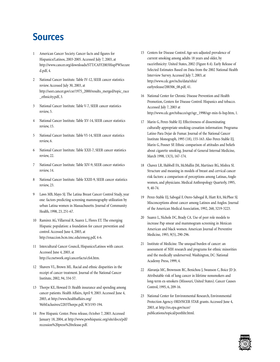# **Sources**

- 1 American Cancer Society. Cancer facts and figures for Hispanics/Latinos, 2003-2005. Accessed July 7, 2003, at http://www.cancer.org/downloads/STT/CAFF2003HispPWSecure d.pdf, 4.
- 2 National Cancer Institute. Table IV-12, SEER cancer statistics review. Accessed July 30, 2003, at http://seer.cancer.gov/csr/1975\_2000/results\_merged/topic\_race \_ethnicity.pdf, 3.
- 3 National Cancer Institute. Table V-7, SEER cancer statistics review, 5.
- National Cancer Institute. Table XV-14, SEER cancer statistics review, 15.
- 5 National Cancer Institute. Table VI-14, SEER cancer statistics review, 6.
- 6 National Cancer Institute. Table XXII-7, SEER cancer statistics review, 22.
- 7 National Cancer Institute. Table XIV-9, SEER cancer statistics review, 14.
- 8 National Cancer Institute. Table XXIII-9, SEER cancer statistics review, 23.
- 9 Laws MB, Mayo SJ. The Latina Breast Cancer Control Study, year one: factors predicting screening mammography utilization by urban Latina women in Massachusetts. Journal of Community Health, 1998, 23, 251-67.
- 10 Ramirez AG, Villarreal R, Suarez L, Flores ET. The emerging Hispanic population: a foundation for cancer prevention and control. Accessed June 4, 2003, at http://enaccion.bcm.tmc.edu/emerg.pdf, 4-6.
- 11 Intercultural Cancer Council, Hispanics/Latinos with cancer. Accessed June 4, 2003, at http://iccnetwork.org/cancerfacts/cfs4.htm.
- 12 Shavers VL, Brown ML. Racial and ethnic disparities in the receipt of cancer treatment. Journal of the National Cancer Institute, 2002, 94, 334-57.
- 13 Thorpe KE, Howard D. Health insurance and spending among cancer patients. Health Affairs, April 9, 2003. Accessed June 4, 2003, at http://www.healthaffairs.org/ WebExclusives/2203Thorpe.pdf, W3/193-194.
- 14 Pew Hispanic Center. Press release, October 7, 2003. Accessed January 18, 2004, at http://www.pewhispanic.org/site/docs/pdf/ recession%20press%20release.pdf.
- 15 Centers for Disease Control. Age-sex-adjusted prevalence of current smoking among adults 18 years and older, by race/ethnicity: United States, 2002 (Figure 8.4). Early Release of Selected Estimates Based on Data from the 2002 National Health Interview Survey. Accessed July 7, 2003, at http://www.cdc.gov/nchs/data/nhis/ earlyrelease/200306\_08.pdf, 41.
- 16 National Center for Chronic Disease Prevention and Health Promotion, Centers for Disease Control. Hispanics and tobacco. Accessed July 7, 2003 at http://www.cdc.gov/tobacco/sgr/sgr\_1998/sgr-min-fs-hsp.htm, 1.
- 17 Marin G, Perez-Stable EJ. Effectiveness of disseminating culturally appropriate smoking-cessation information: Programa Latino Para Dejar de Fumar. Journal of the National Cancer Institute Monograph, 1995 (18), 155-163. Also Perez-Stable EJ, Marin G, Posner SF. Ethnic comparison of attitudes and beliefs about cigarette smoking. Journal of General Internal Medicine, March 1998, 13(3), 167-174.
- 18 Chavez LR, Hubbell FA, McMullin JM, Martinez RG, Mishra SI. Structure and meaning in models of breast and cervical cancer risk factors: a comparison of perceptions among Latinas, Anglo women, and physicians. Medical Anthropology Quarterly, 1995, 9, 40-74.
- 19 Perez-Stable EJ, Sabogal F, Otero-Sabogal R, Hiatt RA, McPhee SJ. Misconceptions about cancer among Latinos and Anglos. Journal of the American Medical Association, 1992, 268, 3219-3223.
- 20 Suarez L, Nichols DC, Brady CA. Use of peer role models to increase Pap smear and mammogram screening in Mexican American and black women. American Journal of Preventive Medicine, 1993, 9(5), 290-296.
- 21 Institute of Medicine. The unequal burden of cancer: an assessment of NIH research and programs for ethnic minorities and the medically underserved. Washington, DC: National Academy Press, 1999, 4.
- 22 Alavanja MC, Brownson RC, Benichou J, Swanson C, Boice JD Jr. Attributable risk of lung cancer in lifetime nonsmokers and long-term ex-smokers (Missouri, United States). Cancer Causes Control, 1995, 6, 209-16.
- 23 National Center for Environmental Research, Environmental Protection Agency. ORD/NCER STAR grants. Accessed June 4, 2003, at http://es.epa.gov/ncer/ publications/topical/pesthhr.html.